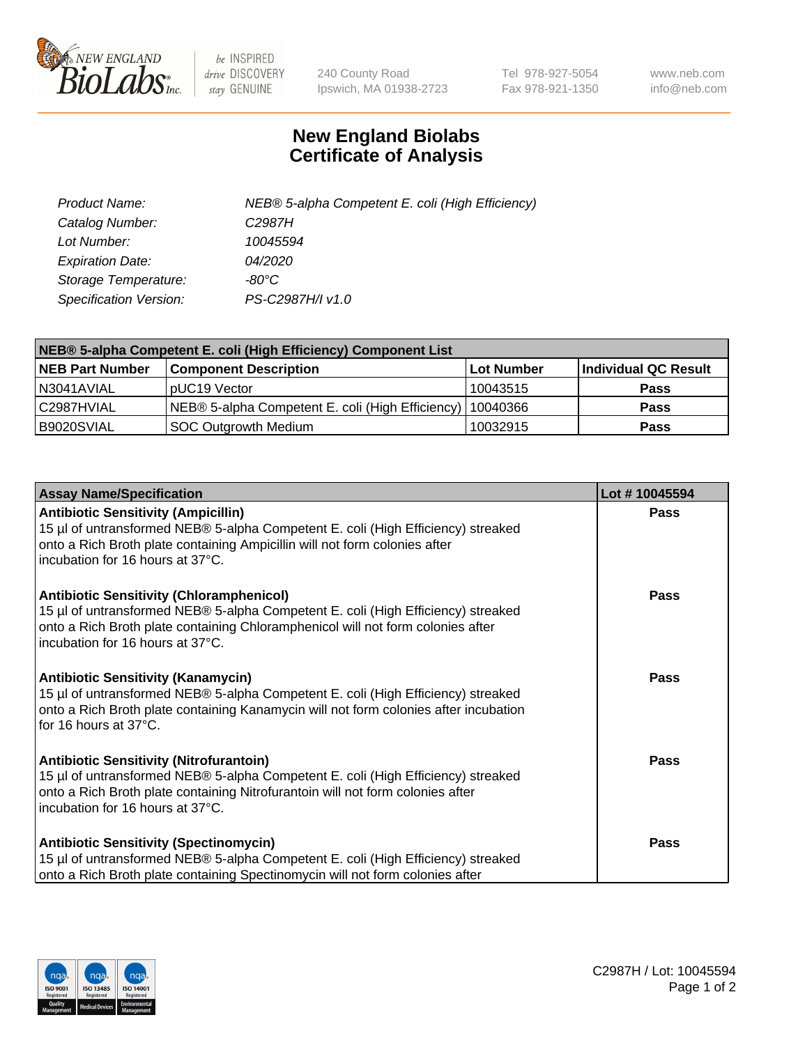

 $be$  INSPIRED drive DISCOVERY stay GENUINE

240 County Road Ipswich, MA 01938-2723 Tel 978-927-5054 Fax 978-921-1350 www.neb.com info@neb.com

## **New England Biolabs Certificate of Analysis**

| Product Name:           | NEB® 5-alpha Competent E. coli (High Efficiency) |
|-------------------------|--------------------------------------------------|
| Catalog Number:         | C <sub>2987</sub> H                              |
| Lot Number:             | 10045594                                         |
| <b>Expiration Date:</b> | 04/2020                                          |
| Storage Temperature:    | -80°C                                            |
| Specification Version:  | PS-C2987H/I v1.0                                 |

| NEB® 5-alpha Competent E. coli (High Efficiency) Component List |                                                  |            |                      |  |
|-----------------------------------------------------------------|--------------------------------------------------|------------|----------------------|--|
| <b>NEB Part Number</b>                                          | <b>Component Description</b>                     | Lot Number | Individual QC Result |  |
| N3041AVIAL                                                      | pUC19 Vector                                     | 10043515   | <b>Pass</b>          |  |
| C2987HVIAL                                                      | NEB® 5-alpha Competent E. coli (High Efficiency) | 10040366   | <b>Pass</b>          |  |
| B9020SVIAL                                                      | <b>SOC Outgrowth Medium</b>                      | 10032915   | <b>Pass</b>          |  |

| <b>Assay Name/Specification</b>                                                                                                                                                                                                                            | Lot #10045594 |
|------------------------------------------------------------------------------------------------------------------------------------------------------------------------------------------------------------------------------------------------------------|---------------|
| <b>Antibiotic Sensitivity (Ampicillin)</b><br>15 µl of untransformed NEB® 5-alpha Competent E. coli (High Efficiency) streaked<br>onto a Rich Broth plate containing Ampicillin will not form colonies after<br>incubation for 16 hours at 37°C.           | <b>Pass</b>   |
| <b>Antibiotic Sensitivity (Chloramphenicol)</b><br>15 µl of untransformed NEB® 5-alpha Competent E. coli (High Efficiency) streaked<br>onto a Rich Broth plate containing Chloramphenicol will not form colonies after<br>incubation for 16 hours at 37°C. | Pass          |
| Antibiotic Sensitivity (Kanamycin)<br>15 µl of untransformed NEB® 5-alpha Competent E. coli (High Efficiency) streaked<br>onto a Rich Broth plate containing Kanamycin will not form colonies after incubation<br>for 16 hours at 37°C.                    | Pass          |
| <b>Antibiotic Sensitivity (Nitrofurantoin)</b><br>15 µl of untransformed NEB® 5-alpha Competent E. coli (High Efficiency) streaked<br>onto a Rich Broth plate containing Nitrofurantoin will not form colonies after<br>incubation for 16 hours at 37°C.   | <b>Pass</b>   |
| <b>Antibiotic Sensitivity (Spectinomycin)</b><br>15 µl of untransformed NEB® 5-alpha Competent E. coli (High Efficiency) streaked<br>onto a Rich Broth plate containing Spectinomycin will not form colonies after                                         | Pass          |